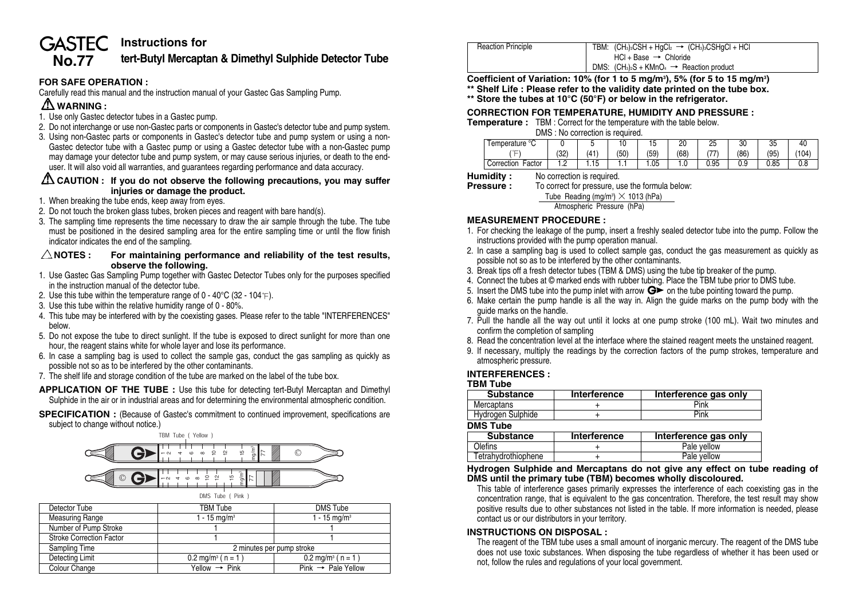#### **Instructions for GASTEC**

# **No.77 tert-Butyl Mercaptan & Dimethyl Sulphide Detector Tube**

#### **FOR SAFE OPERATION :**

Carefully read this manual and the instruction manual of your Gastec Gas Sampling Pump.

## **WARNING :**

- 1. Use only Gastec detector tubes in a Gastec pump.
- 2. Do not interchange or use non-Gastec parts or components in Gastec's detector tube and pump system.
- 3. Using non-Gastec parts or components in Gastec's detector tube and pump system or using a non-Gastec detector tube with a Gastec pump or using a Gastec detector tube with a non-Gastec pump may damage your detector tube and pump system, or may cause serious injuries, or death to the enduser. It will also void all warranties, and guarantees regarding performance and data accuracy.

#### **CAUTION : If you do not observe the following precautions, you may suffer injuries or damage the product.**

- 1. When breaking the tube ends, keep away from eyes.
- 2. Do not touch the broken glass tubes, broken pieces and reagent with bare hand(s).
- 3. The sampling time represents the time necessary to draw the air sample through the tube. The tube must be positioned in the desired sampling area for the entire sampling time or until the flow finish indicator indicates the end of the sampling.

#### $\triangle$ NOTES : For maintaining performance and reliability of the test results, **observe the following.**

- 1. Use Gastec Gas Sampling Pump together with Gastec Detector Tubes only for the purposes specified in the instruction manual of the detector tube.
- 2. Use this tube within the temperature range of  $0 40^{\circ}$ C (32 104 F).
- 3. Use this tube within the relative humidity range of 0 80%.
- 4. This tube may be interfered with by the coexisting gases. Please refer to the table "INTERFERENCES" below.
- 5. Do not expose the tube to direct sunlight. If the tube is exposed to direct sunlight for more than one hour, the reagent stains white for whole layer and lose its performance.
- 6. In case a sampling bag is used to collect the sample gas, conduct the gas sampling as quickly as possible not so as to be interfered by the other contaminants.
- 7. The shelf life and storage condition of the tube are marked on the label of the tube box.
- **APPLICATION OF THE TUBE :** Use this tube for detecting tert-Butyl Mercaptan and Dimethyl Sulphide in the air or in industrial areas and for determining the environmental atmospheric condition.
- **SPECIFICATION**: (Because of Gastec's commitment to continued improvement, specifications are subject to change without notice.)



| Detector Tube                   | <b>TBM Tube</b>                                             | DMS Tube                       |  |  |
|---------------------------------|-------------------------------------------------------------|--------------------------------|--|--|
| <b>Measuring Range</b>          | 1 - 15 mg/m <sup>3</sup>                                    | $1 - 15$ mg/m <sup>3</sup>     |  |  |
| Number of Pump Stroke           |                                                             |                                |  |  |
| <b>Stroke Correction Factor</b> |                                                             |                                |  |  |
| Sampling Time                   | 2 minutes per pump stroke                                   |                                |  |  |
| Detecting Limit                 | $0.2 \text{ mg/m}^3$ ( n = 1 )                              | $0.2 \text{ mg/m}^3$ ( n = 1 ) |  |  |
| Colour Change                   | $Pink \rightarrow$ Pale Yellow<br>Yellow $\rightarrow$ Pink |                                |  |  |

| <b>Reaction Principle</b> | TBM: $(CH_3)_3CSH + HqCl_2 \rightarrow (CH_3)_3CSHqCl + HCl$<br>$HCl + Base \rightarrow Chloride$ |
|---------------------------|---------------------------------------------------------------------------------------------------|
|                           | DMS: $(CH_3)_2S + KMnO_4 \rightarrow$ Reaction product                                            |

Coefficient of Variation: 10% (for 1 to 5 mg/m<sup>3</sup>), 5% (for 5 to 15 mg/m<sup>3</sup>) **\*\* Shelf Life : Please refer to the validity date printed on the tube box.**

**\*\* Store the tubes at 10°C (50°F) or below in the refrigerator.**

#### **CORRECTION FOR TEMPERATURE, HUMIDITY AND PRESSURE :**

**Temperature :** TBM : Correct for the temperature with the table below.

DMS : No correction is required.

| $\circ$<br>emperature |     |             | ٠U   | 15   | ומ<br>້ | 25             | 30   | 2F<br>ن ن |       |
|-----------------------|-----|-------------|------|------|---------|----------------|------|-----------|-------|
| –                     | (32 | (41)        | (50) | (59) | 68      |                | (86) | '95'      | (104) |
| Factor<br>Correction  |     | 4 F<br>1.15 | .    | . 05 |         | $\sim$<br>0.95 | 0.9  | 0.85      | 0.8   |

**Humidity :** No correction is required.<br>**Pressure :** To correct for pressure. us

To correct for pressure, use the formula below:

Tube Reading (mg/m3 ) **×** 1013 (hPa)

Atmospheric Pressure (hPa)

### **MEASUREMENT PROCEDURE :**

- 1. For checking the leakage of the pump, insert a freshly sealed detector tube into the pump. Follow the instructions provided with the pump operation manual.
- 2. In case a sampling bag is used to collect sample gas, conduct the gas measurement as quickly as possible not so as to be interfered by the other contaminants.
- 3. Break tips off a fresh detector tubes (TBM & DMS) using the tube tip breaker of the pump.
- 4. Connect the tubes at © marked ends with rubber tubing. Place the TBM tube prior to DMS tube.
- 5. Insert the DMS tube into the pump inlet with arrow  $\mathbf{G}^{\blacktriangleright}$  on the tube pointing toward the pump.
- 6. Make certain the pump handle is all the way in. Align the guide marks on the pump body with the guide marks on the handle.
- 7. Pull the handle all the way out until it locks at one pump stroke (100 mL). Wait two minutes and confirm the completion of sampling
- 8. Read the concentration level at the interface where the stained reagent meets the unstained reagent.
- 9. If necessary, multiply the readings by the correction factors of the pump strokes, temperature and atmospheric pressure.

#### **INTERFERENCES :**

#### **TBM Tube**

| <b>Substance</b>  | Interference | Interference gas only |
|-------------------|--------------|-----------------------|
| Mercaptans        |              | Pink                  |
| Hydrogen Sulphide |              | Pink                  |
| MC Tubo           |              |                       |

**DMS Tube**

| <b>Substance</b>    | Interference | Interference gas only |
|---------------------|--------------|-----------------------|
| <b>Olefins</b>      |              | Pale yellow           |
| Tetrahydrothiophene |              | Pale vellow           |
|                     |              |                       |

#### **Hydrogen Sulphide and Mercaptans do not give any effect on tube reading of DMS until the primary tube (TBM) becomes wholly discoloured.**

This table of interference gases primarily expresses the interference of each coexisting gas in the concentration range, that is equivalent to the gas concentration. Therefore, the test result may show positive results due to other substances not listed in the table. If more information is needed, please contact us or our distributors in your territory.

#### **INSTRUCTIONS ON DISPOSAL :**

The reagent of the TBM tube uses a small amount of inorganic mercury. The reagent of the DMS tube does not use toxic substances. When disposing the tube regardless of whether it has been used or not, follow the rules and regulations of your local government.